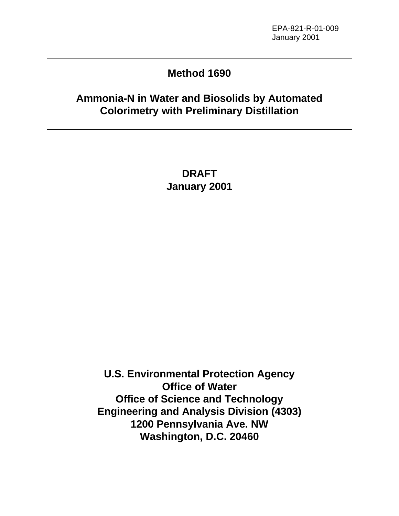# **Method 1690**

# **Ammonia-N in Water and Biosolids by Automated Colorimetry with Preliminary Distillation**

**DRAFT January 2001**

**U.S. Environmental Protection Agency Office of Water Office of Science and Technology Engineering and Analysis Division (4303) 1200 Pennsylvania Ave. NW Washington, D.C. 20460**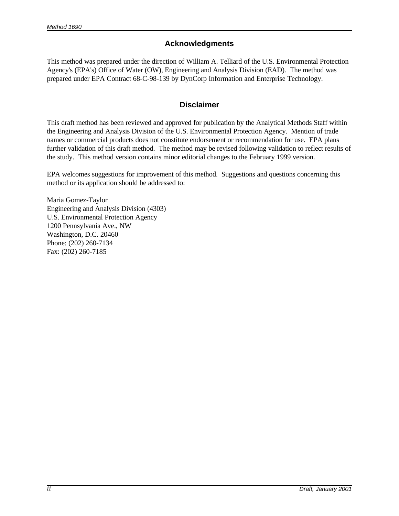#### **Acknowledgments**

This method was prepared under the direction of William A. Telliard of the U.S. Environmental Protection Agency's (EPA's) Office of Water (OW), Engineering and Analysis Division (EAD). The method was prepared under EPA Contract 68-C-98-139 by DynCorp Information and Enterprise Technology.

#### **Disclaimer**

This draft method has been reviewed and approved for publication by the Analytical Methods Staff within the Engineering and Analysis Division of the U.S. Environmental Protection Agency. Mention of trade names or commercial products does not constitute endorsement or recommendation for use. EPA plans further validation of this draft method. The method may be revised following validation to reflect results of the study. This method version contains minor editorial changes to the February 1999 version.

EPA welcomes suggestions for improvement of this method. Suggestions and questions concerning this method or its application should be addressed to:

Maria Gomez-Taylor Engineering and Analysis Division (4303) U.S. Environmental Protection Agency 1200 Pennsylvania Ave., NW Washington, D.C. 20460 Phone: (202) 260-7134 Fax: (202) 260-7185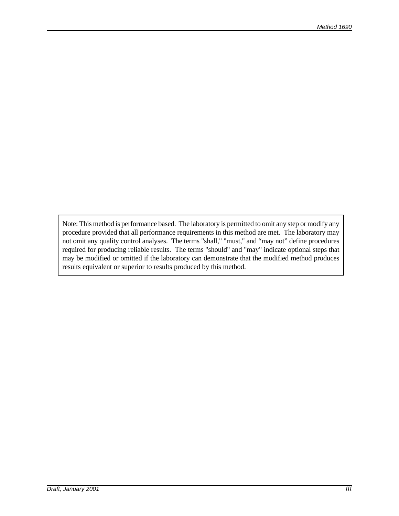Note: This method is performance based. The laboratory is permitted to omit any step or modify any procedure provided that all performance requirements in this method are met. The laboratory may not omit any quality control analyses. The terms "shall," "must," and "may not" define procedures required for producing reliable results. The terms "should" and "may" indicate optional steps that may be modified or omitted if the laboratory can demonstrate that the modified method produces results equivalent or superior to results produced by this method.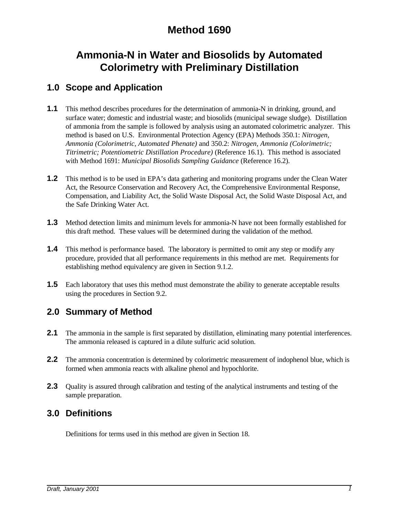# **Method 1690**

# **Ammonia-N in Water and Biosolids by Automated Colorimetry with Preliminary Distillation**

#### **1.0 Scope and Application**

- **1.1** This method describes procedures for the determination of ammonia-N in drinking, ground, and surface water; domestic and industrial waste; and biosolids (municipal sewage sludge). Distillation of ammonia from the sample is followed by analysis using an automated colorimetric analyzer. This method is based on U.S. Environmental Protection Agency (EPA) Methods 350.1: *Nitrogen, Ammonia (Colorimetric, Automated Phenate)* and 350.2: *Nitrogen, Ammonia (Colorimetric; Titrimetric; Potentiometric Distillation Procedure)* (Reference 16.1). This method is associated with Method 1691: *Municipal Biosolids Sampling Guidance* (Reference 16.2).
- **1.2** This method is to be used in EPA's data gathering and monitoring programs under the Clean Water Act, the Resource Conservation and Recovery Act, the Comprehensive Environmental Response, Compensation, and Liability Act, the Solid Waste Disposal Act, the Solid Waste Disposal Act, and the Safe Drinking Water Act.
- **1.3** Method detection limits and minimum levels for ammonia-N have not been formally established for this draft method. These values will be determined during the validation of the method.
- **1.4** This method is performance based. The laboratory is permitted to omit any step or modify any procedure, provided that all performance requirements in this method are met. Requirements for establishing method equivalency are given in Section 9.1.2.
- **1.5** Each laboratory that uses this method must demonstrate the ability to generate acceptable results using the procedures in Section 9.2.

#### **2.0 Summary of Method**

- **2.1** The ammonia in the sample is first separated by distillation, eliminating many potential interferences. The ammonia released is captured in a dilute sulfuric acid solution.
- **2.2** The ammonia concentration is determined by colorimetric measurement of indophenol blue, which is formed when ammonia reacts with alkaline phenol and hypochlorite.
- **2.3** Quality is assured through calibration and testing of the analytical instruments and testing of the sample preparation.

#### **3.0 Definitions**

Definitions for terms used in this method are given in Section 18.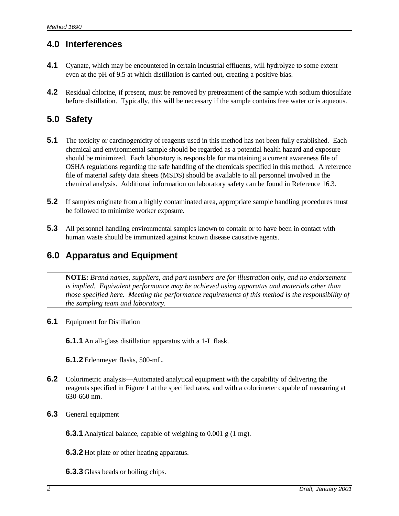## **4.0 Interferences**

- **4.1** Cyanate, which may be encountered in certain industrial effluents, will hydrolyze to some extent even at the pH of 9.5 at which distillation is carried out, creating a positive bias.
- **4.2** Residual chlorine, if present, must be removed by pretreatment of the sample with sodium thiosulfate before distillation. Typically, this will be necessary if the sample contains free water or is aqueous.

#### **5.0 Safety**

- **5.1** The toxicity or carcinogenicity of reagents used in this method has not been fully established. Each chemical and environmental sample should be regarded as a potential health hazard and exposure should be minimized. Each laboratory is responsible for maintaining a current awareness file of OSHA regulations regarding the safe handling of the chemicals specified in this method. A reference file of material safety data sheets (MSDS) should be available to all personnel involved in the chemical analysis. Additional information on laboratory safety can be found in Reference 16.3.
- **5.2** If samples originate from a highly contaminated area, appropriate sample handling procedures must be followed to minimize worker exposure.
- **5.3** All personnel handling environmental samples known to contain or to have been in contact with human waste should be immunized against known disease causative agents.

## **6.0 Apparatus and Equipment**

**NOTE:** *Brand names, suppliers, and part numbers are for illustration only, and no endorsement is implied. Equivalent performance may be achieved using apparatus and materials other than those specified here. Meeting the performance requirements of this method is the responsibility of the sampling team and laboratory.*

#### **6.1** Equipment for Distillation

**6.1.1** An all-glass distillation apparatus with a 1-L flask.

**6.1.2** Erlenmeyer flasks, 500-mL.

- **6.2** Colorimetric analysis—Automated analytical equipment with the capability of delivering the reagents specified in Figure 1 at the specified rates, and with a colorimeter capable of measuring at 630-660 nm.
- **6.3** General equipment

**6.3.1** Analytical balance, capable of weighing to 0.001 g (1 mg).

**6.3.2** Hot plate or other heating apparatus.

**6.3.3** Glass beads or boiling chips.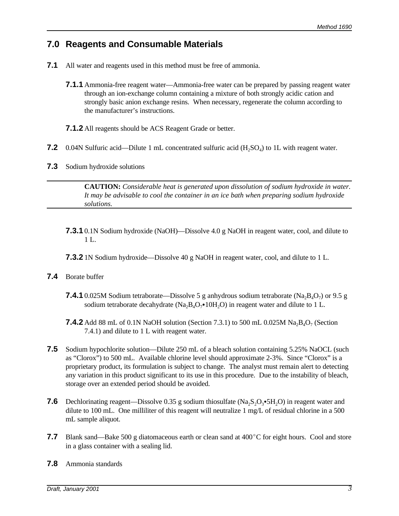#### **7.0 Reagents and Consumable Materials**

- **7.1** All water and reagents used in this method must be free of ammonia.
	- **7.1.1** Ammonia-free reagent water—Ammonia-free water can be prepared by passing reagent water through an ion-exchange column containing a mixture of both strongly acidic cation and strongly basic anion exchange resins. When necessary, regenerate the column according to the manufacturer's instructions.
	- **7.1.2** All reagents should be ACS Reagent Grade or better.
- **7.2** 0.04N Sulfuric acid—Dilute 1 mL concentrated sulfuric acid  $(H_2SO_4)$  to 1L with reagent water.
- **7.3** Sodium hydroxide solutions

**CAUTION:** *Considerable heat is generated upon dissolution of sodium hydroxide in water. It may be advisable to cool the container in an ice bath when preparing sodium hydroxide solutions.*

- **7.3.1** 0.1N Sodium hydroxide (NaOH)—Dissolve 4.0 g NaOH in reagent water, cool, and dilute to 1 L.
- **7.3.2** 1N Sodium hydroxide—Dissolve 40 g NaOH in reagent water, cool, and dilute to 1 L.

#### **7.4** Borate buffer

- **7.4.1** 0.025M Sodium tetraborate—Dissolve 5 g anhydrous sodium tetraborate  $(Na_2B_4O_7)$  or 9.5 g sodium tetraborate decahydrate (Na<sub>2</sub>B<sub>4</sub>O<sub>7</sub> $\bullet$ 10H<sub>2</sub>O) in reagent water and dilute to 1 L.
- **7.4.2** Add 88 mL of 0.1N NaOH solution (Section 7.3.1) to 500 mL 0.025M Na<sub>2</sub>B<sub>4</sub>O<sub>7</sub> (Section 7.4.1) and dilute to 1 L with reagent water.
- **7.5** Sodium hypochlorite solution—Dilute 250 mL of a bleach solution containing 5.25% NaOCL (such as "Clorox") to 500 mL. Available chlorine level should approximate 2-3%. Since "Clorox" is a proprietary product, its formulation is subject to change. The analyst must remain alert to detecting any variation in this product significant to its use in this procedure. Due to the instability of bleach, storage over an extended period should be avoided.
- **7.6** Dechlorinating reagent—Dissolve 0.35 g sodium thiosulfate (Na<sub>2</sub>S<sub>2</sub>O<sub>3</sub>•5H<sub>2</sub>O) in reagent water and dilute to 100 mL. One milliliter of this reagent will neutralize 1 mg/L of residual chlorine in a 500 mL sample aliquot.
- **7.7** Blank sand—Bake 500 g diatomaceous earth or clean sand at 400°C for eight hours. Cool and store in a glass container with a sealing lid.
- **7.8** Ammonia standards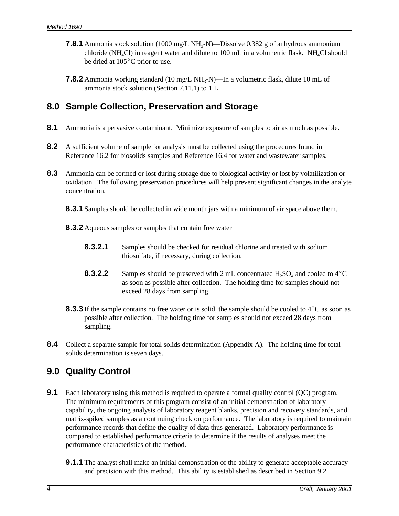- **7.8.1** Ammonia stock solution (1000 mg/L NH<sub>3</sub>-N)—Dissolve 0.382 g of anhydrous ammonium chloride (NH<sub>4</sub>Cl) in reagent water and dilute to 100 mL in a volumetric flask. NH<sub>4</sub>Cl should be dried at  $105^{\circ}$ C prior to use.
- **7.8.2** Ammonia working standard (10 mg/L NH<sub>3</sub>-N)—In a volumetric flask, dilute 10 mL of ammonia stock solution (Section 7.11.1) to 1 L.

#### **8.0 Sample Collection, Preservation and Storage**

- **8.1** Ammonia is a pervasive contaminant. Minimize exposure of samples to air as much as possible.
- **8.2** A sufficient volume of sample for analysis must be collected using the procedures found in Reference 16.2 for biosolids samples and Reference 16.4 for water and wastewater samples.
- **8.3** Ammonia can be formed or lost during storage due to biological activity or lost by volatilization or oxidation. The following preservation procedures will help prevent significant changes in the analyte concentration.
	- **8.3.1** Samples should be collected in wide mouth jars with a minimum of air space above them.
	- **8.3.2** Aqueous samples or samples that contain free water
		- **8.3.2.1** Samples should be checked for residual chlorine and treated with sodium thiosulfate, if necessary, during collection.
		- **8.3.2.2** Samples should be preserved with 2 mL concentrated  $H_2SO_4$  and cooled to  $4^{\circ}C$ as soon as possible after collection. The holding time for samples should not exceed 28 days from sampling.
	- **8.3.3** If the sample contains no free water or is solid, the sample should be cooled to 4<sup>°</sup>C as soon as possible after collection. The holding time for samples should not exceed 28 days from sampling.
- **8.4** Collect a separate sample for total solids determination (Appendix A). The holding time for total solids determination is seven days.

## **9.0 Quality Control**

- **9.1** Each laboratory using this method is required to operate a formal quality control (QC) program. The minimum requirements of this program consist of an initial demonstration of laboratory capability, the ongoing analysis of laboratory reagent blanks, precision and recovery standards, and matrix-spiked samples as a continuing check on performance. The laboratory is required to maintain performance records that define the quality of data thus generated. Laboratory performance is compared to established performance criteria to determine if the results of analyses meet the performance characteristics of the method.
	- **9.1.1** The analyst shall make an initial demonstration of the ability to generate acceptable accuracy and precision with this method. This ability is established as described in Section 9.2.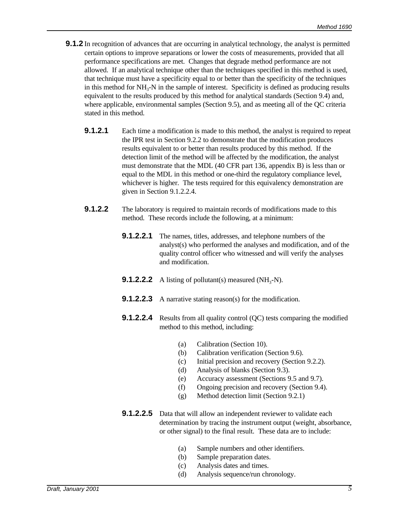- **9.1.2** In recognition of advances that are occurring in analytical technology, the analyst is permitted certain options to improve separations or lower the costs of measurements, provided that all performance specifications are met. Changes that degrade method performance are not allowed. If an analytical technique other than the techniques specified in this method is used, that technique must have a specificity equal to or better than the specificity of the techniques in this method for NH<sub>3</sub>-N in the sample of interest. Specificity is defined as producing results equivalent to the results produced by this method for analytical standards (Section 9.4) and, where applicable, environmental samples (Section 9.5), and as meeting all of the QC criteria stated in this method.
	- **9.1.2.1** Each time a modification is made to this method, the analyst is required to repeat the IPR test in Section 9.2.2 to demonstrate that the modification produces results equivalent to or better than results produced by this method. If the detection limit of the method will be affected by the modification, the analyst must demonstrate that the MDL (40 CFR part 136, appendix B) is less than or equal to the MDL in this method or one-third the regulatory compliance level, whichever is higher. The tests required for this equivalency demonstration are given in Section 9.1.2.2.4.
	- **9.1.2.2** The laboratory is required to maintain records of modifications made to this method. These records include the following, at a minimum:
		- **9.1.2.2.1** The names, titles, addresses, and telephone numbers of the analyst(s) who performed the analyses and modification, and of the quality control officer who witnessed and will verify the analyses and modification.
		- **9.1.2.2.2** A listing of pollutant(s) measured  $(NH_3-N)$ .
		- **9.1.2.2.3** A narrative stating reason(s) for the modification.
		- **9.1.2.2.4** Results from all quality control (QC) tests comparing the modified method to this method, including:
			- (a) Calibration (Section 10).
			- (b) Calibration verification (Section 9.6).
			- (c) Initial precision and recovery (Section 9.2.2).
			- (d) Analysis of blanks (Section 9.3).
			- (e) Accuracy assessment (Sections 9.5 and 9.7).
			- (f) Ongoing precision and recovery (Section 9.4).
			- (g) Method detection limit (Section 9.2.1)
		- **9.1.2.2.5** Data that will allow an independent reviewer to validate each determination by tracing the instrument output (weight, absorbance, or other signal) to the final result. These data are to include:
			- (a) Sample numbers and other identifiers.
			- (b) Sample preparation dates.
			- (c) Analysis dates and times.
			- (d) Analysis sequence/run chronology.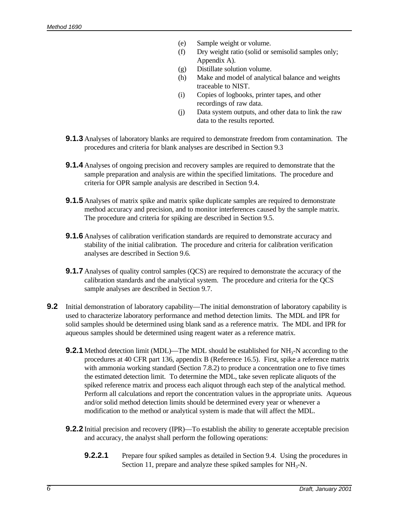- (e) Sample weight or volume.
- (f) Dry weight ratio (solid or semisolid samples only; Appendix A).
- (g) Distillate solution volume.
- (h) Make and model of analytical balance and weights traceable to NIST.
- (i) Copies of logbooks, printer tapes, and other recordings of raw data.
- (j) Data system outputs, and other data to link the raw data to the results reported.
- **9.1.3** Analyses of laboratory blanks are required to demonstrate freedom from contamination. The procedures and criteria for blank analyses are described in Section 9.3
- **9.1.4** Analyses of ongoing precision and recovery samples are required to demonstrate that the sample preparation and analysis are within the specified limitations. The procedure and criteria for OPR sample analysis are described in Section 9.4.
- **9.1.5** Analyses of matrix spike and matrix spike duplicate samples are required to demonstrate method accuracy and precision, and to monitor interferences caused by the sample matrix. The procedure and criteria for spiking are described in Section 9.5.
- **9.1.6** Analyses of calibration verification standards are required to demonstrate accuracy and stability of the initial calibration. The procedure and criteria for calibration verification analyses are described in Section 9.6.
- **9.1.7** Analyses of quality control samples (QCS) are required to demonstrate the accuracy of the calibration standards and the analytical system. The procedure and criteria for the QCS sample analyses are described in Section 9.7.
- **9.2** Initial demonstration of laboratory capability—The initial demonstration of laboratory capability is used to characterize laboratory performance and method detection limits. The MDL and IPR for solid samples should be determined using blank sand as a reference matrix. The MDL and IPR for aqueous samples should be determined using reagent water as a reference matrix.
	- **9.2.1** Method detection limit (MDL)—The MDL should be established for NH<sub>3</sub>-N according to the procedures at 40 CFR part 136, appendix B (Reference 16.5). First, spike a reference matrix with ammonia working standard (Section 7.8.2) to produce a concentration one to five times the estimated detection limit. To determine the MDL, take seven replicate aliquots of the spiked reference matrix and process each aliquot through each step of the analytical method. Perform all calculations and report the concentration values in the appropriate units. Aqueous and/or solid method detection limits should be determined every year or whenever a modification to the method or analytical system is made that will affect the MDL.
	- **9.2.2** Initial precision and recovery (IPR)—To establish the ability to generate acceptable precision and accuracy, the analyst shall perform the following operations:
		- **9.2.2.1** Prepare four spiked samples as detailed in Section 9.4. Using the procedures in Section 11, prepare and analyze these spiked samples for  $NH<sub>3</sub>-N$ .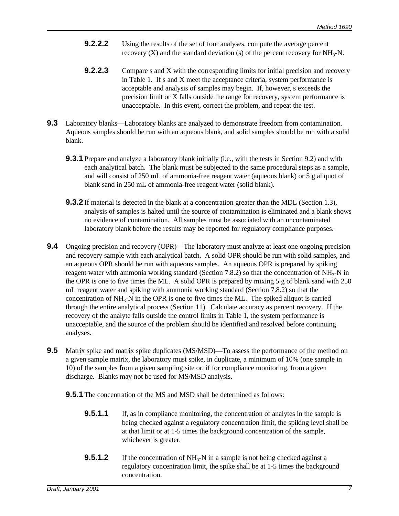- **9.2.2.2** Using the results of the set of four analyses, compute the average percent recovery  $(X)$  and the standard deviation  $(s)$  of the percent recovery for  $NH<sub>3</sub>-N$ .
- **9.2.2.3** Compare s and X with the corresponding limits for initial precision and recovery in Table 1. If s and X meet the acceptance criteria, system performance is acceptable and analysis of samples may begin. If, however, s exceeds the precision limit or X falls outside the range for recovery, system performance is unacceptable. In this event, correct the problem, and repeat the test.
- **9.3** Laboratory blanks—Laboratory blanks are analyzed to demonstrate freedom from contamination. Aqueous samples should be run with an aqueous blank, and solid samples should be run with a solid blank.
	- **9.3.1** Prepare and analyze a laboratory blank initially (i.e., with the tests in Section 9.2) and with each analytical batch. The blank must be subjected to the same procedural steps as a sample, and will consist of 250 mL of ammonia-free reagent water (aqueous blank) or 5 g aliquot of blank sand in 250 mL of ammonia-free reagent water (solid blank).
	- **9.3.2** If material is detected in the blank at a concentration greater than the MDL (Section 1.3), analysis of samples is halted until the source of contamination is eliminated and a blank shows no evidence of contamination. All samples must be associated with an uncontaminated laboratory blank before the results may be reported for regulatory compliance purposes.
- **9.4** Ongoing precision and recovery (OPR)—The laboratory must analyze at least one ongoing precision and recovery sample with each analytical batch. A solid OPR should be run with solid samples, and an aqueous OPR should be run with aqueous samples. An aqueous OPR is prepared by spiking reagent water with ammonia working standard (Section 7.8.2) so that the concentration of  $NH_3-N$  in the OPR is one to five times the ML. A solid OPR is prepared by mixing 5 g of blank sand with 250 mL reagent water and spiking with ammonia working standard (Section 7.8.2) so that the concentration of  $NH_3-N$  in the OPR is one to five times the ML. The spiked aliquot is carried through the entire analytical process (Section 11). Calculate accuracy as percent recovery. If the recovery of the analyte falls outside the control limits in Table 1, the system performance is unacceptable, and the source of the problem should be identified and resolved before continuing analyses.
- **9.5** Matrix spike and matrix spike duplicates (MS/MSD)—To assess the performance of the method on a given sample matrix, the laboratory must spike, in duplicate, a minimum of 10% (one sample in 10) of the samples from a given sampling site or, if for compliance monitoring, from a given discharge. Blanks may not be used for MS/MSD analysis.
	- **9.5.1** The concentration of the MS and MSD shall be determined as follows:
		- **9.5.1.1** If, as in compliance monitoring, the concentration of analytes in the sample is being checked against a regulatory concentration limit, the spiking level shall be at that limit or at 1-5 times the background concentration of the sample, whichever is greater.
		- **9.5.1.2** If the concentration of  $NH_3$ -N in a sample is not being checked against a regulatory concentration limit, the spike shall be at 1-5 times the background concentration.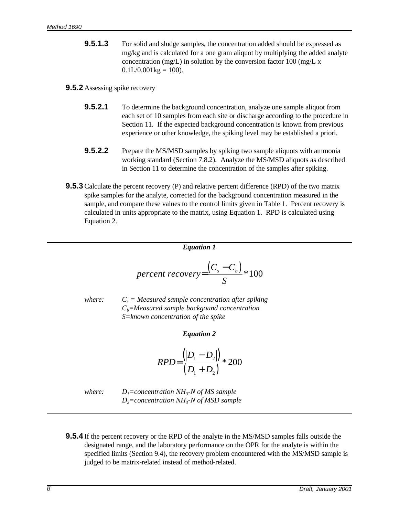**9.5.1.3** For solid and sludge samples, the concentration added should be expressed as mg/kg and is calculated for a one gram aliquot by multiplying the added analyte concentration (mg/L) in solution by the conversion factor 100 (mg/L  $\rm x$ )  $0.1L/0.001kg = 100$ .

#### **9.5.2** Assessing spike recovery

- **9.5.2.1** To determine the background concentration, analyze one sample aliquot from each set of 10 samples from each site or discharge according to the procedure in Section 11. If the expected background concentration is known from previous experience or other knowledge, the spiking level may be established a priori.
- **9.5.2.2** Prepare the MS/MSD samples by spiking two sample aliquots with ammonia working standard (Section 7.8.2). Analyze the MS/MSD aliquots as described in Section 11 to determine the concentration of the samples after spiking.
- **9.5.3** Calculate the percent recovery (P) and relative percent difference (RPD) of the two matrix spike samples for the analyte, corrected for the background concentration measured in the sample, and compare these values to the control limits given in Table 1. Percent recovery is calculated in units appropriate to the matrix, using Equation 1. RPD is calculated using Equation 2.

$$
percent\ recovery = \frac{(C_s - C_b)}{S} * 100
$$

*Equation 1*

*where:* 

 *= Measured sample concentration after spiking Cb=Measured sample backgound concentration S=known concentration of the spike*

*Equation 2*

$$
RPD{=}\frac{(|D_1-D_2|)}{(D_1+D_2)}*200
$$

*where: D1=concentration NH<sup>3</sup> -N of MS sample D2=concentration NH<sup>3</sup> -N of MSD sample*

**9.5.4** If the percent recovery or the RPD of the analyte in the MS/MSD samples falls outside the designated range, and the laboratory performance on the OPR for the analyte is within the specified limits (Section 9.4), the recovery problem encountered with the MS/MSD sample is judged to be matrix-related instead of method-related.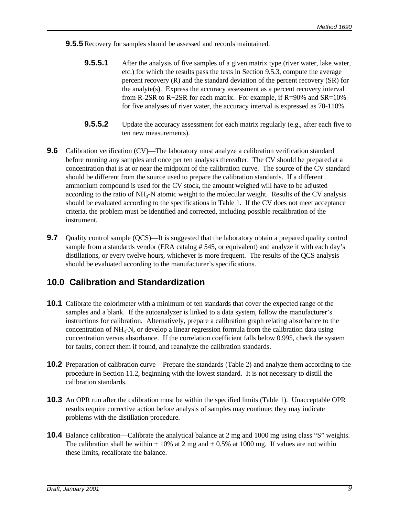**9.5.5** Recovery for samples should be assessed and records maintained.

- **9.5.5.1** After the analysis of five samples of a given matrix type (river water, lake water, etc.) for which the results pass the tests in Section 9.5.3, compute the average percent recovery (R) and the standard deviation of the percent recovery (SR) for the analyte(s). Express the accuracy assessment as a percent recovery interval from R-2SR to R+2SR for each matrix. For example, if  $R=90\%$  and  $SR=10\%$ for five analyses of river water, the accuracy interval is expressed as 70-110%.
- **9.5.5.2** Update the accuracy assessment for each matrix regularly (e.g., after each five to ten new measurements).
- **9.6** Calibration verification (CV)—The laboratory must analyze a calibration verification standard before running any samples and once per ten analyses thereafter. The CV should be prepared at a concentration that is at or near the midpoint of the calibration curve. The source of the CV standard should be different from the source used to prepare the calibration standards. If a different ammonium compound is used for the CV stock, the amount weighed will have to be adjusted according to the ratio of NH<sub>3</sub>-N atomic weight to the molecular weight. Results of the CV analysis should be evaluated according to the specifications in Table 1. If the CV does not meet acceptance criteria, the problem must be identified and corrected, including possible recalibration of the instrument.
- **9.7** Quality control sample (QCS)—It is suggested that the laboratory obtain a prepared quality control sample from a standards vendor (ERA catalog #545, or equivalent) and analyze it with each day's distillations, or every twelve hours, whichever is more frequent. The results of the QCS analysis should be evaluated according to the manufacturer's specifications.

## **10.0 Calibration and Standardization**

- **10.1** Calibrate the colorimeter with a minimum of ten standards that cover the expected range of the samples and a blank. If the autoanalyzer is linked to a data system, follow the manufacturer's instructions for calibration. Alternatively, prepare a calibration graph relating absorbance to the concentration of  $NH_3$ -N, or develop a linear regression formula from the calibration data using concentration versus absorbance. If the correlation coefficient falls below 0.995, check the system for faults, correct them if found, and reanalyze the calibration standards.
- **10.2** Preparation of calibration curve—Prepare the standards (Table 2) and analyze them according to the procedure in Section 11.2, beginning with the lowest standard. It is not necessary to distill the calibration standards.
- **10.3** An OPR run after the calibration must be within the specified limits (Table 1). Unacceptable OPR results require corrective action before analysis of samples may continue; they may indicate problems with the distillation procedure.
- **10.4** Balance calibration—Calibrate the analytical balance at 2 mg and 1000 mg using class "S" weights. The calibration shall be within  $\pm 10\%$  at 2 mg and  $\pm 0.5\%$  at 1000 mg. If values are not within these limits, recalibrate the balance.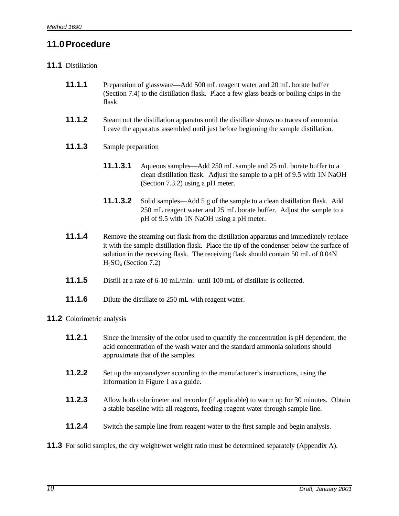## **11.0Procedure**

#### **11.1** Distillation

- **11.1.1** Preparation of glassware—Add 500 mL reagent water and 20 mL borate buffer (Section 7.4) to the distillation flask. Place a few glass beads or boiling chips in the flask.
- **11.1.2** Steam out the distillation apparatus until the distillate shows no traces of ammonia. Leave the apparatus assembled until just before beginning the sample distillation.
- **11.1.3** Sample preparation
	- **11.1.3.1** Aqueous samples—Add 250 mL sample and 25 mL borate buffer to a clean distillation flask. Adjust the sample to a pH of 9.5 with 1N NaOH (Section 7.3.2) using a pH meter.
	- **11.1.3.2** Solid samples—Add 5 g of the sample to a clean distillation flask. Add 250 mL reagent water and 25 mL borate buffer. Adjust the sample to a pH of 9.5 with 1N NaOH using a pH meter.
- **11.1.4** Remove the steaming out flask from the distillation apparatus and immediately replace it with the sample distillation flask. Place the tip of the condenser below the surface of solution in the receiving flask. The receiving flask should contain 50 mL of 0.04N  $H<sub>2</sub>SO<sub>4</sub>$  (Section 7.2)
- **11.1.5** Distill at a rate of 6-10 mL/min. until 100 mL of distillate is collected.
- **11.1.6** Dilute the distillate to 250 mL with reagent water.

#### **11.2** Colorimetric analysis

- **11.2.1** Since the intensity of the color used to quantify the concentration is pH dependent, the acid concentration of the wash water and the standard ammonia solutions should approximate that of the samples.
- **11.2.2** Set up the autoanalyzer according to the manufacturer's instructions, using the information in Figure 1 as a guide.
- **11.2.3** Allow both colorimeter and recorder (if applicable) to warm up for 30 minutes. Obtain a stable baseline with all reagents, feeding reagent water through sample line.
- **11.2.4** Switch the sample line from reagent water to the first sample and begin analysis.
- **11.3** For solid samples, the dry weight/wet weight ratio must be determined separately (Appendix A).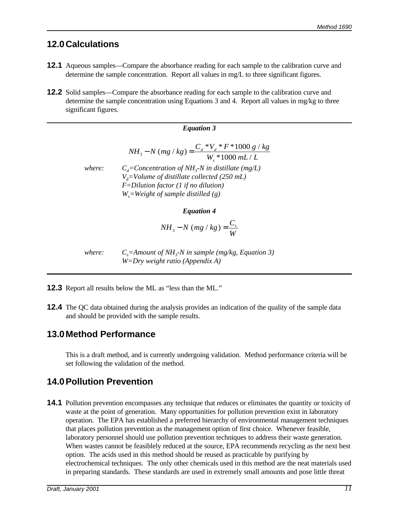## **12.0Calculations**

- **12.1** Aqueous samples—Compare the absorbance reading for each sample to the calibration curve and determine the sample concentration. Report all values in mg/L to three significant figures.
- **12.2** Solid samples—Compare the absorbance reading for each sample to the calibration curve and determine the sample concentration using Equations 3 and 4. Report all values in mg/kg to three significant figures.

#### *Equation 3*  $NH_3 - N$  (mg / kg) =  $\frac{C_d * V_d * F * 1000 g / kg}{V}$  $W_s * 1000$   $mL/L$ *d d s* 3 1000 1000  $-N (mg/kg) = \frac{C_d * V_d * F * 1000 g / F}{m}$  $*1000$  mL/ *where: Cd=Concentration of NH<sup>3</sup> -N in distillate (mg/L) Vd=Volume of distillate collected (250 mL) F=Dilution factor (1 if no dilution) Ws=Weight of sample distilled (g)*

#### *Equation 4*

$$
NH_{3}-N (mg/kg) = \frac{C_{s}}{W}
$$

*where: Cs=Amount of NH<sup>3</sup> -N in sample (mg/kg, Equation 3) W=Dry weight ratio (Appendix A)*

- **12.3** Report all results below the ML as "less than the ML."
- **12.4** The QC data obtained during the analysis provides an indication of the quality of the sample data and should be provided with the sample results.

#### **13.0Method Performance**

This is a draft method, and is currently undergoing validation. Method performance criteria will be set following the validation of the method.

## **14.0Pollution Prevention**

**14.1** Pollution prevention encompasses any technique that reduces or eliminates the quantity or toxicity of waste at the point of generation. Many opportunities for pollution prevention exist in laboratory operation. The EPA has established a preferred hierarchy of environmental management techniques that places pollution prevention as the management option of first choice. Whenever feasible, laboratory personnel should use pollution prevention techniques to address their waste generation. When wastes cannot be feasiblely reduced at the source, EPA recommends recycling as the next best option. The acids used in this method should be reused as practicable by purifying by electrochemical techniques. The only other chemicals used in this method are the neat materials used in preparing standards. These standards are used in extremely small amounts and pose little threat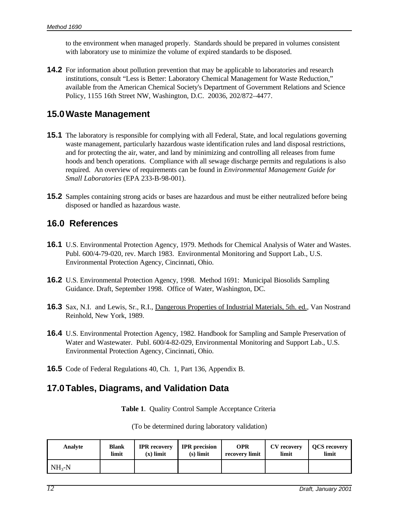to the environment when managed properly. Standards should be prepared in volumes consistent with laboratory use to minimize the volume of expired standards to be disposed.

**14.2** For information about pollution prevention that may be applicable to laboratories and research institutions, consult "Less is Better: Laboratory Chemical Management for Waste Reduction," available from the American Chemical Society's Department of Government Relations and Science Policy, 1155 16th Street NW, Washington, D.C. 20036, 202/872–4477.

#### **15.0Waste Management**

- **15.1** The laboratory is responsible for complying with all Federal, State, and local regulations governing waste management, particularly hazardous waste identification rules and land disposal restrictions, and for protecting the air, water, and land by minimizing and controlling all releases from fume hoods and bench operations. Compliance with all sewage discharge permits and regulations is also required. An overview of requirements can be found in *Environmental Management Guide for Small Laboratories* (EPA 233-B-98-001).
- **15.2** Samples containing strong acids or bases are hazardous and must be either neutralized before being disposed or handled as hazardous waste.

#### **16.0 References**

- **16.1** U.S. Environmental Protection Agency, 1979. Methods for Chemical Analysis of Water and Wastes. Publ. 600/4-79-020, rev. March 1983. Environmental Monitoring and Support Lab., U.S. Environmental Protection Agency, Cincinnati, Ohio.
- **16.2** U.S. Environmental Protection Agency, 1998. Method 1691: Municipal Biosolids Sampling Guidance. Draft, September 1998. Office of Water, Washington, DC.
- **16.3** Sax, N.I. and Lewis, Sr., R.I., Dangerous Properties of Industrial Materials, 5th. ed., Van Nostrand Reinhold, New York, 1989.
- **16.4** U.S. Environmental Protection Agency, 1982. Handbook for Sampling and Sample Preservation of Water and Wastewater. Publ. 600/4-82-029, Environmental Monitoring and Support Lab., U.S. Environmental Protection Agency, Cincinnati, Ohio.
- **16.5** Code of Federal Regulations 40, Ch. 1, Part 136, Appendix B.

#### **17.0Tables, Diagrams, and Validation Data**

**Table 1**. Quality Control Sample Acceptance Criteria

(To be determined during laboratory validation)

| Analyte    | <b>Blank</b> | <b>IPR</b> recovery | <b>IPR</b> precision | <b>OPR</b>     | CV recovery | <b>OCS</b> recovery |
|------------|--------------|---------------------|----------------------|----------------|-------------|---------------------|
|            | limit        | $(x)$ limit         | $(s)$ limit          | recovery limit | limit       | limit               |
| $NH_{3}-N$ |              |                     |                      |                |             |                     |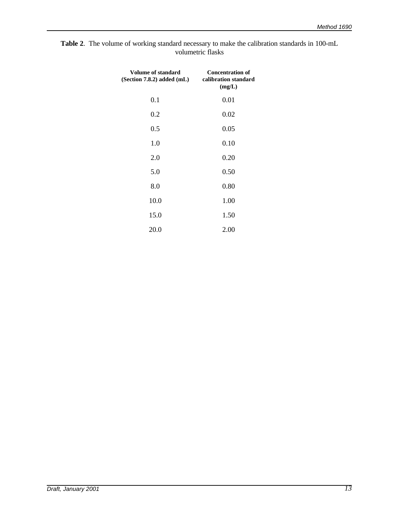| <b>Table 2.</b> The volume of working standard necessary to make the calibration standards in 100-mL |  |
|------------------------------------------------------------------------------------------------------|--|
| volumetric flasks                                                                                    |  |

| <b>Volume of standard</b><br>(Section 7.8.2) added (mL) | <b>Concentration of</b><br>calibration standard<br>(mg/L) |
|---------------------------------------------------------|-----------------------------------------------------------|
| 0.1                                                     | 0.01                                                      |
| 0.2                                                     | 0.02                                                      |
| 0.5                                                     | 0.05                                                      |
| 1.0                                                     | 0.10                                                      |
| 2.0                                                     | 0.20                                                      |
| 5.0                                                     | 0.50                                                      |
| 8.0                                                     | 0.80                                                      |
| 10.0                                                    | 1.00                                                      |
| 15.0                                                    | 1.50                                                      |
| 20.0                                                    | 2.00                                                      |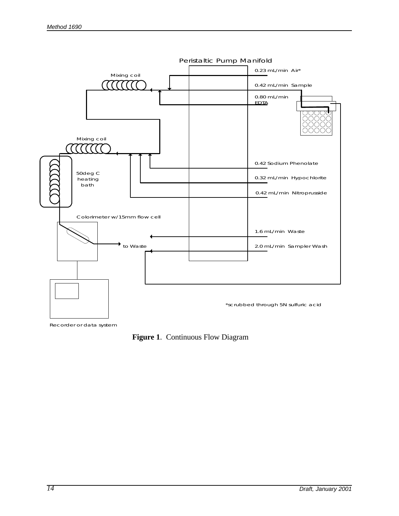

Recorder or data system

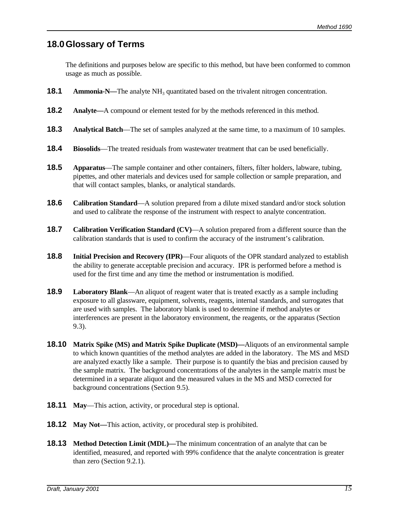#### **18.0Glossary of Terms**

The definitions and purposes below are specific to this method, but have been conformed to common usage as much as possible.

- **18.1** Ammonia-N—The analyte NH<sub>3</sub> quantitated based on the trivalent nitrogen concentration.
- **18.2 Analyte—**A compound or element tested for by the methods referenced in this method.
- **18.3 Analytical Batch**—The set of samples analyzed at the same time, to a maximum of 10 samples.
- **18.4 Biosolids**—The treated residuals from wastewater treatment that can be used beneficially.
- **18.5 Apparatus**—The sample container and other containers, filters, filter holders, labware, tubing, pipettes, and other materials and devices used for sample collection or sample preparation, and that will contact samples, blanks, or analytical standards.
- **18.6 Calibration Standard**—A solution prepared from a dilute mixed standard and/or stock solution and used to calibrate the response of the instrument with respect to analyte concentration.
- **18.7 Calibration Verification Standard (CV)**—A solution prepared from a different source than the calibration standards that is used to confirm the accuracy of the instrument's calibration.
- **18.8 Initial Precision and Recovery (IPR)**—Four aliquots of the OPR standard analyzed to establish the ability to generate acceptable precision and accuracy. IPR is performed before a method is used for the first time and any time the method or instrumentation is modified.
- **18.9 Laboratory Blank**—An aliquot of reagent water that is treated exactly as a sample including exposure to all glassware, equipment, solvents, reagents, internal standards, and surrogates that are used with samples. The laboratory blank is used to determine if method analytes or interferences are present in the laboratory environment, the reagents, or the apparatus (Section 9.3).
- **18.10 Matrix Spike (MS) and Matrix Spike Duplicate (MSD)—**Aliquots of an environmental sample to which known quantities of the method analytes are added in the laboratory. The MS and MSD are analyzed exactly like a sample. Their purpose is to quantify the bias and precision caused by the sample matrix. The background concentrations of the analytes in the sample matrix must be determined in a separate aliquot and the measured values in the MS and MSD corrected for background concentrations (Section 9.5).
- **18.11 May**—This action, activity, or procedural step is optional.
- **18.12** May Not—This action, activity, or procedural step is prohibited.
- **18.13 Method Detection Limit (MDL)—**The minimum concentration of an analyte that can be identified, measured, and reported with 99% confidence that the analyte concentration is greater than zero (Section 9.2.1).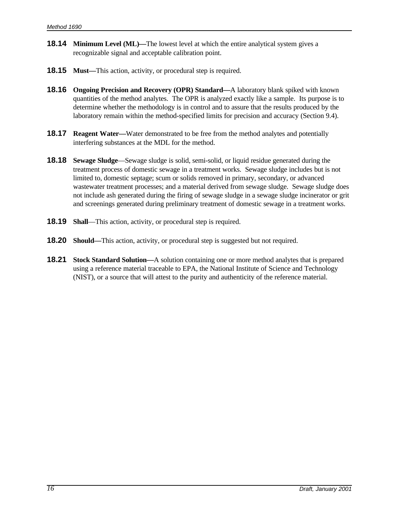- **18.14 Minimum Level (ML)—**The lowest level at which the entire analytical system gives a recognizable signal and acceptable calibration point.
- **18.15 Must—**This action, activity, or procedural step is required.
- **18.16 Ongoing Precision and Recovery (OPR) Standard—**A laboratory blank spiked with known quantities of the method analytes. The OPR is analyzed exactly like a sample. Its purpose is to determine whether the methodology is in control and to assure that the results produced by the laboratory remain within the method-specified limits for precision and accuracy (Section 9.4).
- **18.17 Reagent Water—Water demonstrated to be free from the method analytes and potentially** interfering substances at the MDL for the method.
- **18.18 Sewage Sludge**—Sewage sludge is solid, semi-solid, or liquid residue generated during the treatment process of domestic sewage in a treatment works. Sewage sludge includes but is not limited to, domestic septage; scum or solids removed in primary, secondary, or advanced wastewater treatment processes; and a material derived from sewage sludge. Sewage sludge does not include ash generated during the firing of sewage sludge in a sewage sludge incinerator or grit and screenings generated during preliminary treatment of domestic sewage in a treatment works.
- **18.19 Shall**—This action, activity, or procedural step is required.
- **18.20 Should—**This action, activity, or procedural step is suggested but not required.
- **18.21 Stock Standard Solution—**A solution containing one or more method analytes that is prepared using a reference material traceable to EPA, the National Institute of Science and Technology (NIST), or a source that will attest to the purity and authenticity of the reference material.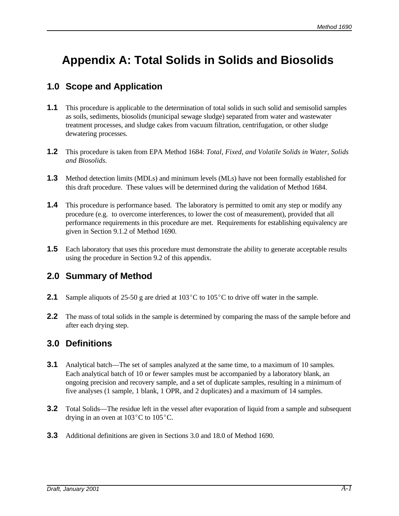# **Appendix A: Total Solids in Solids and Biosolids**

## **1.0 Scope and Application**

- **1.1** This procedure is applicable to the determination of total solids in such solid and semisolid samples as soils, sediments, biosolids (municipal sewage sludge) separated from water and wastewater treatment processes, and sludge cakes from vacuum filtration, centrifugation, or other sludge dewatering processes.
- **1.2** This procedure is taken from EPA Method 1684: *Total, Fixed, and Volatile Solids in Water, Solids and Biosolids.*
- **1.3** Method detection limits (MDLs) and minimum levels (MLs) have not been formally established for this draft procedure. These values will be determined during the validation of Method 1684.
- **1.4** This procedure is performance based. The laboratory is permitted to omit any step or modify any procedure (e.g. to overcome interferences, to lower the cost of measurement), provided that all performance requirements in this procedure are met. Requirements for establishing equivalency are given in Section 9.1.2 of Method 1690.
- **1.5** Each laboratory that uses this procedure must demonstrate the ability to generate acceptable results using the procedure in Section 9.2 of this appendix.

## **2.0 Summary of Method**

- **2.1** Sample aliquots of 25-50 g are dried at  $103^{\circ}$ C to  $105^{\circ}$ C to drive off water in the sample.
- **2.2** The mass of total solids in the sample is determined by comparing the mass of the sample before and after each drying step.

#### **3.0 Definitions**

- **3.1** Analytical batch—The set of samples analyzed at the same time, to a maximum of 10 samples. Each analytical batch of 10 or fewer samples must be accompanied by a laboratory blank, an ongoing precision and recovery sample, and a set of duplicate samples, resulting in a minimum of five analyses (1 sample, 1 blank, 1 OPR, and 2 duplicates) and a maximum of 14 samples.
- **3.2** Total Solids—The residue left in the vessel after evaporation of liquid from a sample and subsequent drying in an oven at  $103^{\circ}$ C to  $105^{\circ}$ C.
- **3.3** Additional definitions are given in Sections 3.0 and 18.0 of Method 1690.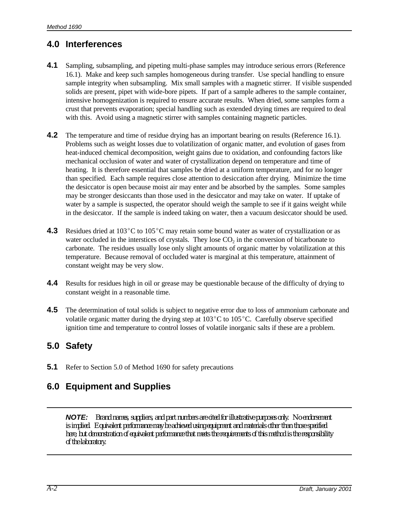# **4.0 Interferences**

- **4.1** Sampling, subsampling, and pipeting multi-phase samples may introduce serious errors (Reference 16.1). Make and keep such samples homogeneous during transfer. Use special handling to ensure sample integrity when subsampling. Mix small samples with a magnetic stirrer. If visible suspended solids are present, pipet with wide-bore pipets. If part of a sample adheres to the sample container, intensive homogenization is required to ensure accurate results. When dried, some samples form a crust that prevents evaporation; special handling such as extended drying times are required to deal with this. Avoid using a magnetic stirrer with samples containing magnetic particles.
- **4.2** The temperature and time of residue drying has an important bearing on results (Reference 16.1). Problems such as weight losses due to volatilization of organic matter, and evolution of gases from heat-induced chemical decomposition, weight gains due to oxidation, and confounding factors like mechanical occlusion of water and water of crystallization depend on temperature and time of heating. It is therefore essential that samples be dried at a uniform temperature, and for no longer than specified. Each sample requires close attention to desiccation after drying. Minimize the time the desiccator is open because moist air may enter and be absorbed by the samples. Some samples may be stronger desiccants than those used in the desiccator and may take on water. If uptake of water by a sample is suspected, the operator should weigh the sample to see if it gains weight while in the desiccator. If the sample is indeed taking on water, then a vacuum desiccator should be used.
- **4.3** Residues dried at 103°C to 105°C may retain some bound water as water of crystallization or as water occluded in the interstices of crystals. They lose  $CO<sub>2</sub>$  in the conversion of bicarbonate to carbonate. The residues usually lose only slight amounts of organic matter by volatilization at this temperature. Because removal of occluded water is marginal at this temperature, attainment of constant weight may be very slow.
- **4.4** Results for residues high in oil or grease may be questionable because of the difficulty of drying to constant weight in a reasonable time.
- **4.5** The determination of total solids is subject to negative error due to loss of ammonium carbonate and volatile organic matter during the drying step at  $103^{\circ}$ C to  $105^{\circ}$ C. Carefully observe specified ignition time and temperature to control losses of volatile inorganic salts if these are a problem.

## **5.0 Safety**

**5.1** Refer to Section 5.0 of Method 1690 for safety precautions

# **6.0 Equipment and Supplies**

*NOTE: Brand names, suppliers, and part numbers are cited for illustrative purposes only. No endorsement is implied. Equivalent performance may be achieved using equipment and materials other than those specified here, but demonstration of equivalent performance that meets the requirements of this method is the responsibility of the laboratory.*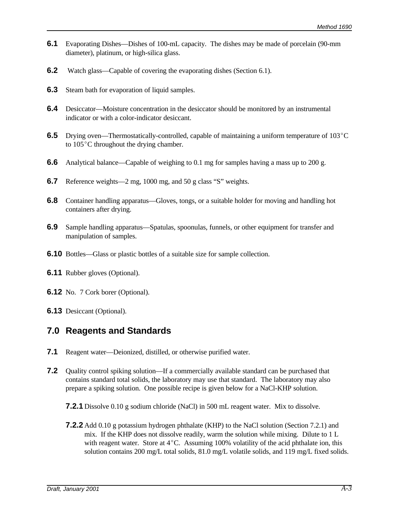- **6.1** Evaporating Dishes—Dishes of 100-mL capacity. The dishes may be made of porcelain (90-mm diameter), platinum, or high-silica glass.
- **6.2** Watch glass—Capable of covering the evaporating dishes (Section 6.1).
- **6.3** Steam bath for evaporation of liquid samples.
- **6.4** Desiccator—Moisture concentration in the desiccator should be monitored by an instrumental indicator or with a color-indicator desiccant.
- **6.5** Drying oven—Thermostatically-controlled, capable of maintaining a uniform temperature of 103<sup>°</sup>C to  $105^{\circ}$ C throughout the drying chamber.
- **6.6** Analytical balance—Capable of weighing to 0.1 mg for samples having a mass up to 200 g.
- **6.7** Reference weights—2 mg, 1000 mg, and 50 g class "S" weights.
- **6.8** Container handling apparatus—Gloves, tongs, or a suitable holder for moving and handling hot containers after drying.
- **6.9** Sample handling apparatus—Spatulas, spoonulas, funnels, or other equipment for transfer and manipulation of samples.
- **6.10** Bottles—Glass or plastic bottles of a suitable size for sample collection.
- **6.11** Rubber gloves (Optional).
- **6.12** No. 7 Cork borer (Optional).
- **6.13** Desiccant (Optional).

#### **7.0 Reagents and Standards**

- **7.1** Reagent water—Deionized, distilled, or otherwise purified water.
- **7.2** Quality control spiking solution—If a commercially available standard can be purchased that contains standard total solids, the laboratory may use that standard. The laboratory may also prepare a spiking solution. One possible recipe is given below for a NaCl-KHP solution.
	- **7.2.1** Dissolve 0.10 g sodium chloride (NaCl) in 500 mL reagent water. Mix to dissolve.
	- **7.2.2** Add 0.10 g potassium hydrogen phthalate (KHP) to the NaCl solution (Section 7.2.1) and mix. If the KHP does not dissolve readily, warm the solution while mixing. Dilute to 1 L with reagent water. Store at  $4^{\circ}$ C. Assuming 100% volatility of the acid phthalate ion, this solution contains 200 mg/L total solids, 81.0 mg/L volatile solids, and 119 mg/L fixed solids.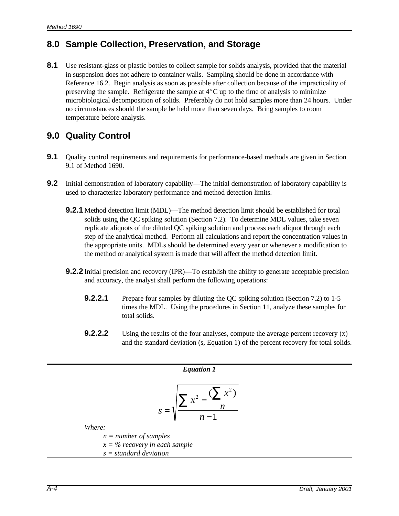## **8.0 Sample Collection, Preservation, and Storage**

**8.1** Use resistant-glass or plastic bottles to collect sample for solids analysis, provided that the material in suspension does not adhere to container walls. Sampling should be done in accordance with Reference 16.2. Begin analysis as soon as possible after collection because of the impracticality of preserving the sample. Refrigerate the sample at  $4^{\circ}$ C up to the time of analysis to minimize microbiological decomposition of solids. Preferably do not hold samples more than 24 hours. Under no circumstances should the sample be held more than seven days. Bring samples to room temperature before analysis.

# **9.0 Quality Control**

- **9.1** Quality control requirements and requirements for performance-based methods are given in Section 9.1 of Method 1690.
- **9.2** Initial demonstration of laboratory capability—The initial demonstration of laboratory capability is used to characterize laboratory performance and method detection limits.
	- **9.2.1** Method detection limit (MDL)—The method detection limit should be established for total solids using the QC spiking solution (Section 7.2). To determine MDL values, take seven replicate aliquots of the diluted QC spiking solution and process each aliquot through each step of the analytical method. Perform all calculations and report the concentration values in the appropriate units. MDLs should be determined every year or whenever a modification to the method or analytical system is made that will affect the method detection limit.
	- **9.2.2** Initial precision and recovery (IPR)—To establish the ability to generate acceptable precision and accuracy, the analyst shall perform the following operations:
		- **9.2.2.1** Prepare four samples by diluting the QC spiking solution (Section 7.2) to 1-5 times the MDL. Using the procedures in Section 11, analyze these samples for total solids.
		- **9.2.2.2** Using the results of the four analyses, compute the average percent recovery (x) and the standard deviation (s, Equation 1) of the percent recovery for total solids.

| Equation 1                                               |                         |
|----------------------------------------------------------|-------------------------|
| $S = \sqrt{\frac{\sum x^2 - \frac{(\sum x^2)}{n}}{n-1}}$ |                         |
| Where:                                                   | $n = number of samples$ |
| $x = % recovery in each sample$                          |                         |
| $s = standard deviation$                                 |                         |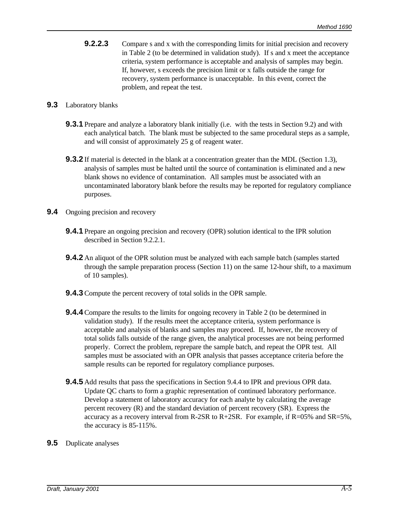**9.2.2.3** Compare s and x with the corresponding limits for initial precision and recovery in Table 2 (to be determined in validation study). If s and x meet the acceptance criteria, system performance is acceptable and analysis of samples may begin. If, however, s exceeds the precision limit or x falls outside the range for recovery, system performance is unacceptable. In this event, correct the problem, and repeat the test.

#### **9.3** Laboratory blanks

- **9.3.1** Prepare and analyze a laboratory blank initially (i.e. with the tests in Section 9.2) and with each analytical batch. The blank must be subjected to the same procedural steps as a sample, and will consist of approximately 25 g of reagent water.
- **9.3.2** If material is detected in the blank at a concentration greater than the MDL (Section 1.3), analysis of samples must be halted until the source of contamination is eliminated and a new blank shows no evidence of contamination. All samples must be associated with an uncontaminated laboratory blank before the results may be reported for regulatory compliance purposes.
- **9.4** Ongoing precision and recovery
	- **9.4.1** Prepare an ongoing precision and recovery (OPR) solution identical to the IPR solution described in Section 9.2.2.1.
	- **9.4.2** An aliquot of the OPR solution must be analyzed with each sample batch (samples started through the sample preparation process (Section 11) on the same 12-hour shift, to a maximum of 10 samples).
	- **9.4.3** Compute the percent recovery of total solids in the OPR sample.
	- **9.4.4** Compare the results to the limits for ongoing recovery in Table 2 (to be determined in validation study). If the results meet the acceptance criteria, system performance is acceptable and analysis of blanks and samples may proceed. If, however, the recovery of total solids falls outside of the range given, the analytical processes are not being performed properly. Correct the problem, reprepare the sample batch, and repeat the OPR test. All samples must be associated with an OPR analysis that passes acceptance criteria before the sample results can be reported for regulatory compliance purposes.
	- **9.4.5** Add results that pass the specifications in Section 9.4.4 to IPR and previous OPR data. Update QC charts to form a graphic representation of continued laboratory performance. Develop a statement of laboratory accuracy for each analyte by calculating the average percent recovery (R) and the standard deviation of percent recovery (SR). Express the accuracy as a recovery interval from R-2SR to R+2SR. For example, if  $R=05\%$  and  $SR=5\%$ , the accuracy is 85-115%.
- **9.5** Duplicate analyses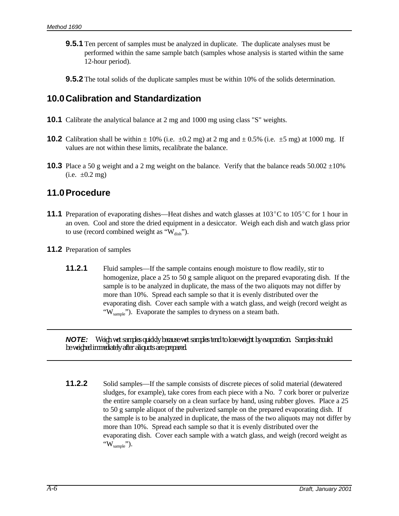- **9.5.1** Ten percent of samples must be analyzed in duplicate. The duplicate analyses must be performed within the same sample batch (samples whose analysis is started within the same 12-hour period).
- **9.5.2** The total solids of the duplicate samples must be within 10% of the solids determination.

#### **10.0Calibration and Standardization**

- **10.1** Calibrate the analytical balance at 2 mg and 1000 mg using class "S" weights.
- **10.2** Calibration shall be within  $\pm 10\%$  (i.e.  $\pm 0.2$  mg) at 2 mg and  $\pm 0.5\%$  (i.e.  $\pm 5$  mg) at 1000 mg. If values are not within these limits, recalibrate the balance.
- **10.3** Place a 50 g weight and a 2 mg weight on the balance. Verify that the balance reads  $50.002 \pm 10\%$  $(i.e. \pm 0.2 \text{ mg})$

#### **11.0Procedure**

- **11.1** Preparation of evaporating dishes—Heat dishes and watch glasses at  $103^{\circ}$ C to  $105^{\circ}$ C for 1 hour in an oven. Cool and store the dried equipment in a desiccator. Weigh each dish and watch glass prior to use (record combined weight as " $W_{\text{disk}}$ ").
- **11.2** Preparation of samples
	- **11.2.1** Fluid samples—If the sample contains enough moisture to flow readily, stir to homogenize, place a 25 to 50 g sample aliquot on the prepared evaporating dish. If the sample is to be analyzed in duplicate, the mass of the two aliquots may not differ by more than 10%. Spread each sample so that it is evenly distributed over the evaporating dish. Cover each sample with a watch glass, and weigh (record weight as "W<sub>sample</sub>"). Evaporate the samples to dryness on a steam bath.

*NOTE: Weigh wet samples quickly because wet samples tend to lose weight by evaporation. Samples should be weighed immediately after aliquots are prepared.*

**11.2.2** Solid samples—If the sample consists of discrete pieces of solid material (dewatered sludges, for example), take cores from each piece with a No. 7 cork borer or pulverize the entire sample coarsely on a clean surface by hand, using rubber gloves. Place a 25 to 50 g sample aliquot of the pulverized sample on the prepared evaporating dish. If the sample is to be analyzed in duplicate, the mass of the two aliquots may not differ by more than 10%. Spread each sample so that it is evenly distributed over the evaporating dish. Cover each sample with a watch glass, and weigh (record weight as " $W_{\text{sample}}$ ").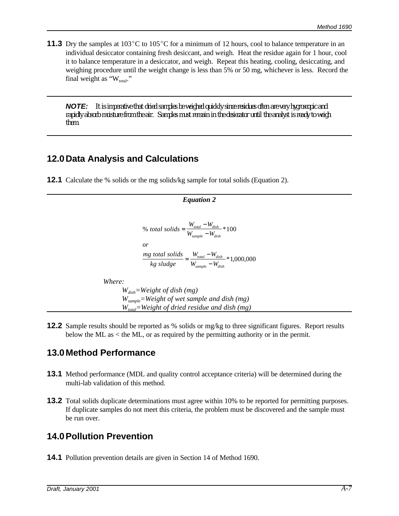**11.3** Dry the samples at  $103^{\circ}$ C to  $105^{\circ}$ C for a minimum of 12 hours, cool to balance temperature in an individual desiccator containing fresh desiccant, and weigh. Heat the residue again for 1 hour, cool it to balance temperature in a desiccator, and weigh. Repeat this heating, cooling, desiccating, and weighing procedure until the weight change is less than 5% or 50 mg, whichever is less. Record the final weight as " $W_{total}$ ."

*NOTE: It is imperative that dried samples be weighed quickly since residues often are very hygroscopic and rapidly absorb moisture from the air. Samples must remain in the desiccator until the analyst is ready to weigh them.*

## **12.0Data Analysis and Calculations**

**12.1** Calculate the % solids or the mg solids/kg sample for total solids (Equation 2).

*Equation 2* % total solids =  $\frac{W_{total} - W_{dish}}{W}$  $\frac{mg \text{ total solids}}{M} = \frac{W_{total} - W_{dish}}{W} * 1,000,$  $W_{\text{sample}} - W_{\text{}}$ *or kg sludge*  $W_{total} - W$  $W_{\text{sample}} - W_{\text{}}$ *total dish sample dish total dish sample dish*  $=\frac{W_{total}-1}{\frac{1}{2}W_{total}-1}$  $\frac{d^{i}dx}{d}$  \* 100  $=\frac{W_{total}-1}{W_{total}-1}$  $\frac{1}{-W_{disk}}$  \* 1,000,000 *Where: Wdish=Weight of dish (mg) Wsample=Weight of wet sample and dish (mg) Wtotal=Weight of dried residue and dish (mg)*

**12.2** Sample results should be reported as % solids or mg/kg to three significant figures. Report results below the ML as  $\lt$  the ML, or as required by the permitting authority or in the permit.

# **13.0Method Performance**

- **13.1** Method performance (MDL and quality control acceptance criteria) will be determined during the multi-lab validation of this method.
- **13.2** Total solids duplicate determinations must agree within 10% to be reported for permitting purposes. If duplicate samples do not meet this criteria, the problem must be discovered and the sample must be run over.

# **14.0Pollution Prevention**

**14.1** Pollution prevention details are given in Section 14 of Method 1690.